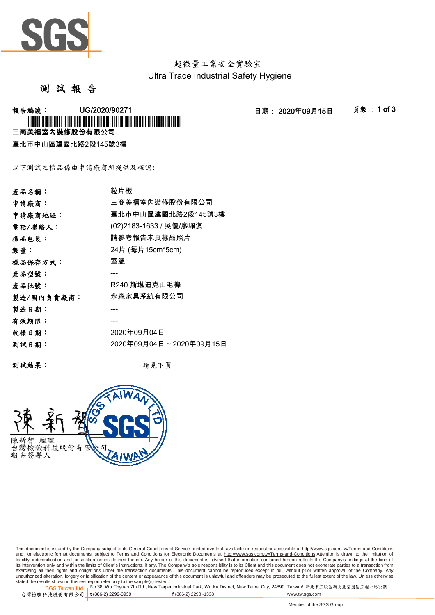

超微量工業安全實驗室 Ultra Trace Industrial Safety Hygiene

## 測 試 報 告

**報告編號: UG/2020/90271 - 2020年09月15日 - 頁數:1 of 3** 三商美福室內裝修股份有限公司 \*UGCO AND AN EST EN ALL AND ANNO ANNO ANNO AN AN AN AN AN AN AN AN AN AN AN AN

臺北市中山區建國北路2段145號3樓

以下測試之樣品係由申請廠商所提供及確認:

| 產品名稱:      | 粒片板                     |
|------------|-------------------------|
| 申請廠商:      | 三商美福室內裝修股份有限公司          |
| 申請廠商地址:    | 臺北市中山區建國北路2段145號3樓      |
| 電話/聯絡人:    | (02)2183-1633 / 吳優/廖珮淇  |
| 樣品包裝:      | 請參考報告末頁樣品照片             |
| 數量:        | 24片 (每片15cm*5cm)        |
| 樣品保存方式:    | 室溫                      |
| 產品型號:      |                         |
| 產品批號:      | R240 斯堪迪克山毛櫸            |
| 製造/國內負責廠商: | 永森家具系統有限公司              |
| 製造日期:      |                         |
| 有效期限:      |                         |
| 收樣日期:      | 2020年09月04日             |
| 测試日期:      | 2020年09月04日~2020年09月15日 |
|            |                         |

測試結果: -請見下頁-



This document is issued by the Company subject to its General Conditions of Service printed overleaf, available on request or accessible at <u>http://www.sgs.com.tw/Terms-and-Conditions</u><br>and, for electronic format documents, its intervention only and within the limits of Client's instructions, if any. The Company's sole responsibility is to its Client and this document does not exonerate parties to a transaction from<br>exercising all their right unauthorized alteration, forgery or falsification of the content or appearance of this document is unlawful and offenders may be prosecuted to the fullest extent of the law. Unless otherwise stated the results shown in this test report refer only to the sample(s) tested.<br>SGS Taiwan Ltd.,No.38, Wu Chyuan 7th Rd., New Taipei Industrial Park, Wu Ku District, New Taipei City, 24890, Taiwan/ 新北市五股區新北產業園區五權七路38號

SGS Taiwan Ltd. 1 台灣檢驗科技股份有限公司 t (886-2) 2299-3939 **t** (886-2) 2299-3939 **f** (886-2) 2298 -1338 www.tw.sgs.com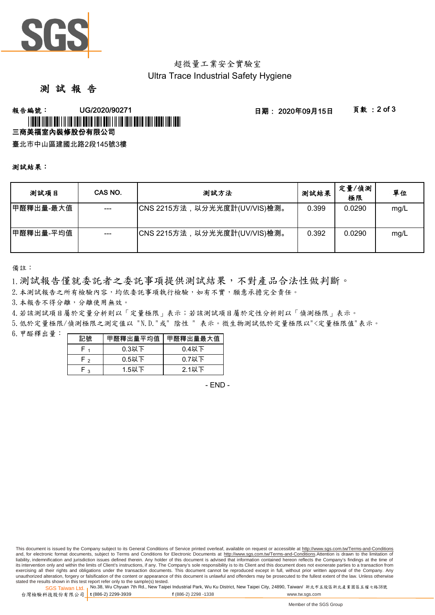

# 超微量工業安全實驗室 Ultra Trace Industrial Safety Hygiene

# 測 試 報 告

### **報告編號: UG/2020/90271 - 2020年09月15日 - 頁數:2 of 3** 三商美福室內裝修股份有限公司 \*UGCO AND AN TALLAR ADALDER AND ADALY AND ADALY AND ADALY AND ADDRESS AND

臺北市中山區建國北路2段145號3樓

#### 測試結果:

| 测試項目      | CAS NO. | 測試方法                         | 測試結果  | 定量/偵測<br>極限 | 單位   |
|-----------|---------|------------------------------|-------|-------------|------|
| 甲醛釋出量-最大值 | $---$   | CNS 2215方法,以分光光度計(UV/VIS)檢測。 | 0.399 | 0.0290      | mg/L |
| 甲醛釋出量-平均值 |         | CNS 2215方法,以分光光度計(UV/VIS)檢測。 | 0.392 | 0.0290      | mg/L |

備註:

1.測試報告僅就委託者之委託事項提供測試結果,不對產品合法性做判斷。

2.本測試報告之所有檢驗內容,均依委託事項執行檢驗,如有不實,願意承擔完全責任。

3. 本報告不得分離,分離使用無效。

4.若該測試項目屬於定量分析則以「定量極限」表示;若該測試項目屬於定性分析則以「偵測極限」表示。

5.低於定量極限/偵測極限之測定值以 "N.D."或" 陰性 " 表示。微生物測試低於定量極限以"<定量極限值"表示。

 $6.$  甲醛釋出量: 一

| 記號              | 甲醛釋出量平均值 | 甲醛釋出量最大值 |  |
|-----------------|----------|----------|--|
|                 | $0.3$ 以下 | $0.4$ 以下 |  |
| $0.5$ 以下<br>⊸ ⊢ |          | $0.7$ 以下 |  |
| ່ າ             | $1.5$ 以下 | 2.1以下    |  |

- END -

This document is issued by the Company subject to its General Conditions of Service printed overleaf, available on request or accessible at http://www.sgs.com.tw/Terms-and-Conditions and, for electronic format documents, subject to Terms and Conditions for Electronic Documents at http://www.sgs.com.tw/Terms-and-Conditions.Attention is drawn to the limitation of liability, indemnification and jurisdiction issues defined therein. Any holder of this document is advised that information contained hereon reflects the Company's findings at the time of its intervention only and within the limits of Client's instructions, if any. The Company's sole responsibility is to its Client and this document does not exonerate parties to a transaction from exercising all their rights and obligations under the transaction documents. This document cannot be reproduced except in full, without prior written approval of the Company. Any unauthorized alteration, forgery or falsification of the content or appearance of this document is unlawful and offenders may be prosecuted to the fullest extent of the law. Unless otherwise stated the results shown in this test report refer only to the sample(s) tested.

SGS Taiwan Ltd. <sub>I</sub>No.38, Wu Chyuan 7th Rd., New Taipei Industrial Park, Wu Ku District, New Taipei City, 24890, Taiwan/ 新北市五股區新北產業園區五權七路38號 台灣檢驗科技股份有限公司 t (886-2) 2299-3939 **t** (886-2) 2299-3939 **f** (886-2) 2298 -1338 www.tw.sgs.com